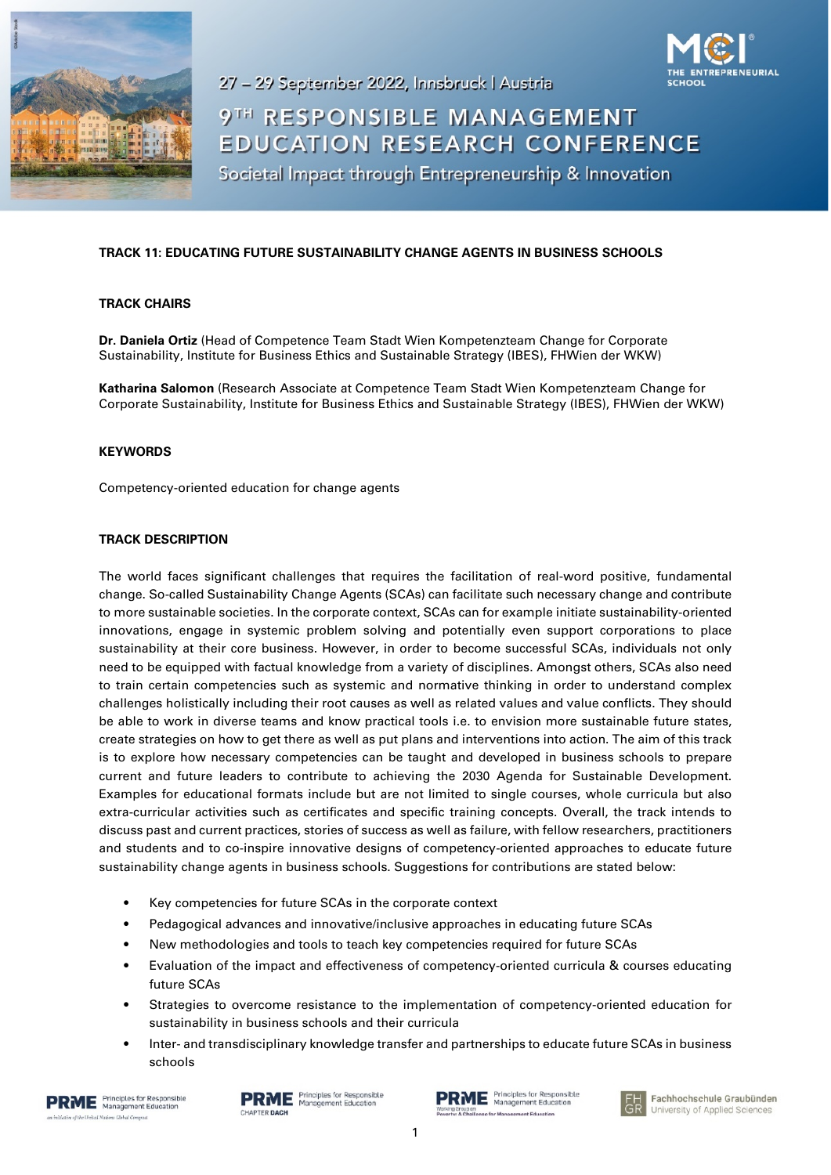

27 - 29 September 2022, Innsbruck | Austria

# 9TH RESPONSIBLE MANAGEMENT EDUCATION RESEARCH CONFERENCE

Societal Impact through Entrepreneurship & Innovation

## **TRACK 11: EDUCATING FUTURE SUSTAINABILITY CHANGE AGENTS IN BUSINESS SCHOOLS**

### **TRACK CHAIRS**

**Dr. Daniela Ortiz** (Head of Competence Team Stadt Wien Kompetenzteam Change for Corporate Sustainability, Institute for Business Ethics and Sustainable Strategy (IBES), FHWien der WKW)

**Katharina Salomon** (Research Associate at Competence Team Stadt Wien Kompetenzteam Change for Corporate Sustainability, Institute for Business Ethics and Sustainable Strategy (IBES), FHWien der WKW)

#### **KEYWORDS**

Competency-oriented education for change agents

### **TRACK DESCRIPTION**

The world faces significant challenges that requires the facilitation of real-word positive, fundamental change. So-called Sustainability Change Agents (SCAs) can facilitate such necessary change and contribute to more sustainable societies. In the corporate context, SCAs can for example initiate sustainability-oriented innovations, engage in systemic problem solving and potentially even support corporations to place sustainability at their core business. However, in order to become successful SCAs, individuals not only need to be equipped with factual knowledge from a variety of disciplines. Amongst others, SCAs also need to train certain competencies such as systemic and normative thinking in order to understand complex challenges holistically including their root causes as well as related values and value conflicts. They should be able to work in diverse teams and know practical tools i.e. to envision more sustainable future states, create strategies on how to get there as well as put plans and interventions into action. The aim of this track is to explore how necessary competencies can be taught and developed in business schools to prepare current and future leaders to contribute to achieving the 2030 Agenda for Sustainable Development. Examples for educational formats include but are not limited to single courses, whole curricula but also extra-curricular activities such as certificates and specific training concepts. Overall, the track intends to discuss past and current practices, stories of success as well as failure, with fellow researchers, practitioners and students and to co-inspire innovative designs of competency-oriented approaches to educate future sustainability change agents in business schools. Suggestions for contributions are stated below:

- Key competencies for future SCAs in the corporate context
- Pedagogical advances and innovative/inclusive approaches in educating future SCAs
- New methodologies and tools to teach key competencies required for future SCAs
- Evaluation of the impact and effectiveness of competency-oriented curricula & courses educating future SCAs
- Strategies to overcome resistance to the implementation of competency-oriented education for sustainability in business schools and their curricula
- Inter- and transdisciplinary knowledge transfer and partnerships to educate future SCAs in business schools



RME Principles for Responsible